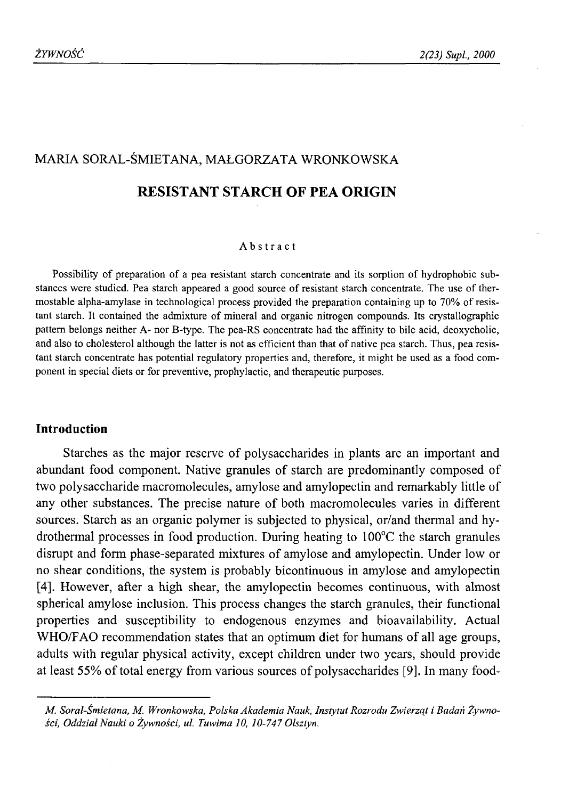# MARIA SORAL-ŚMIETANA, MAŁGORZATA WRONKOWSKA

## **RESISTANT STARCH OF PEA ORIGIN**

#### Abstract

Possibility of preparation of a pea resistant starch concentrate and its sorption of hydrophobic substances were studied. Pea starch appeared a good source of resistant starch concentrate. The use of thermostable alpha-amylase in technological process provided the preparation containing up to 70% of resistant starch. It contained the admixture of mineral and organic nitrogen compounds. Its crystallographic pattern belongs neither A- nor B-type. The pea-RS concentrate had the affinity to bile acid, deoxycholic, and also to cholesterol although the latter is not as efficient than that of native pea starch. Thus, pea resistant starch concentrate has potential regulatory properties and, therefore, it might be used as a food component in special diets or for preventive, prophylactic, and therapeutic purposes.

### **Introduction**

Starches as the major reserve of polysaccharides in plants are an important and abundant food component. Native granules of starch are predominantly composed of two polysaccharide macromolecules, amylose and amylopectin and remarkably little of any other substances. The precise nature of both macromolecules varies in different sources. Starch as an organic polymer is subjected to physical, or/and thermal and hydrothermal processes in food production. During heating to 100°C the starch granules disrupt and form phase-separated mixtures of amylose and amylopectin. Under low or no shear conditions, the system is probably bicontinuous in amylose and amylopectin [4]. However, after a high shear, the amylopectin becomes continuous, with almost spherical amylose inclusion. This process changes the starch granules, their functional properties and susceptibility to endogenous enzymes and bioavailability. Actual WHO/FAO recommendation states that an optimum diet for humans of all age groups, adults with regular physical activity, except children under two years, should provide at least 55% of total energy from various sources of polysaccharides [9]. In many food-

*M. Soral-Śmietana, M. Wronkowska, Polska Akademia Nauk, Instytut Rozrodu Zwierząt i Badań Żywności, Oddział Nauki o Żywności, ul. Tuwima 10, 10-747 Olsztyn.*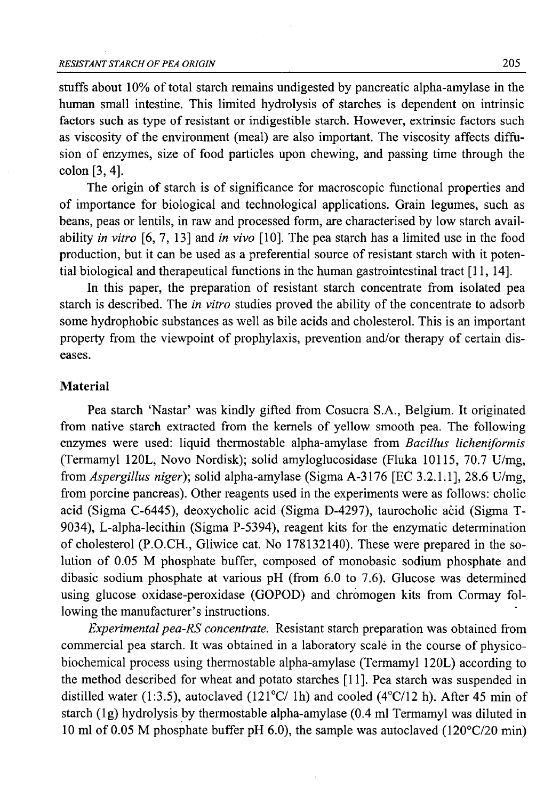stuffs about 10% of total starch remains undigested by pancreatic alpha-amylase in the human small intestine. This limited hydrolysis of starches is dependent on intrinsic factors such as type of resistant or indigestible starch. However, extrinsic factors such as viscosity of the environment (meal) are also important. The viscosity affects diffusion of enzymes, size of food particles upon chewing, and passing time through the colon [3,4].

The origin of starch is of significance for macroscopic functional properties and of importance for biological and technological applications. Grain legumes, such as beans, peas or lentils, in raw and processed form, are characterised by low starch availability *in vitro* [6, 7, 13] and *in vivo* [10]. The pea starch has a limited use in the food production, but it can be used as a preferential source of resistant starch with it potential biological and therapeutical functions in the human gastrointestinal tract [11, 14].

In this paper, the preparation of resistant starch concentrate from isolated pea starch is described. The *in vitro* studies proved the ability of the concentrate to adsorb some hydrophobic substances as well as bile acids and cholesterol. This is an important property from the viewpoint of prophylaxis, prevention and/or therapy of certain diseases.

### **Material**

Pea starch 'Nastar' was kindly gifted from Cosucra S.A., Belgium. It originated from native starch extracted from the kernels of yellow smooth pea. The following enzymes were used: liquid thermostable alpha-amylase from *Bacillus licheniformis* (Termamyl 120L, Novo Nordisk); solid amyloglucosidase (Fluka 10115, 70.7 U/mg, from *Aspergillus niger)\* solid alpha-amylase (Sigma A-3176 [EC 3.2.1.1], 28.6 U/mg, from porcine pancreas). Other reagents used in the experiments were as follows: cholic acid (Sigma C-6445), deoxycholic acid (Sigma D-4297), taurocholic acid (Sigma T-9034), L-alpha-lecithin (Sigma P-5394), reagent kits for the enzymatic determination of cholesterol (P.O.CH., Gliwice cat. No 178132140). These were prepared in the solution of 0.05 M phosphate buffer, composed of monobasic sodium phosphate and dibasic sodium phosphate at various pH (from 6.0 to 7.6). Glucose was determined using glucose oxidase-peroxidase (GOPOD) and chromogen kits from Cormay following the manufacturer's instructions.

*Experimental pea-RS concentrate.* Resistant starch preparation was obtained from commercial pea starch. It was obtained in a laboratory scale in the course of physicobiochemical process using thermostable alpha-amylase (Termamyl 120L) according to the method described for wheat and potato starches [11]. Pea starch was suspended in distilled water (1:3.5), autoclaved (121 $\degree$ C/ 1h) and cooled (4 $\degree$ C/12 h). After 45 min of starch (lg) hydrolysis by thermostable alpha-amylase (0.4 ml Termamyl was diluted in 10 ml of 0.05 M phosphate buffer pH 6.0), the sample was autoclaved (120°C/20 min)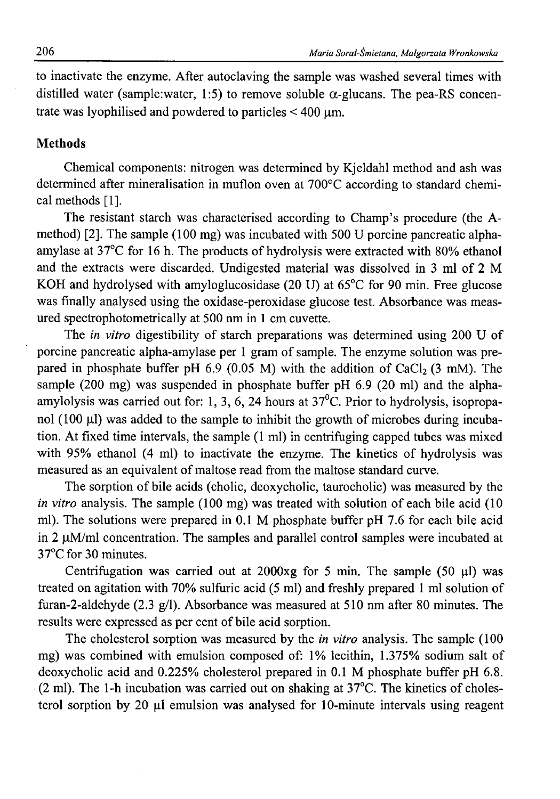to inactivate the enzyme. After autoclaving the sample was washed several times with distilled water (sample:water, 1:5) to remove soluble  $\alpha$ -glucans. The pea-RS concentrate was lyophilised and powdered to particles  $< 400 \mu m$ .

## **Methods**

Chemical components: nitrogen was determined by Kjeldahl method and ash was determined after mineralisation in muflon oven at 700°C according to standard chemical methods [1].

The resistant starch was characterised according to Champ's procedure (the Amethod) [2]. The sample (100 mg) was incubated with 500 U porcine pancreatic alphaamylase at 37°C for 16 h. The products of hydrolysis were extracted with 80% ethanol and the extracts were discarded. Undigested material was dissolved in 3 ml of 2 M KOH and hydrolysed with amyloglucosidase (20 U) at 65°C for 90 min. Free glucose was finally analysed using the oxidase-peroxidase glucose test. Absorbance was measured spectrophotometrically at 500 nm in 1 cm cuvette.

The *in vitro* digestibility of starch preparations was determined using 200 U of porcine pancreatic alpha-amylase per 1 gram of sample. The enzyme solution was prepared in phosphate buffer pH  $6.9$  (0.05 M) with the addition of CaCl<sub>2</sub> (3 mM). The sample (200 mg) was suspended in phosphate buffer pH 6.9 (20 ml) and the alphaamylolysis was carried out for: 1, 3, 6, 24 hours at  $37^{\circ}$ C. Prior to hydrolysis, isopropanol (100  $\mu$ I) was added to the sample to inhibit the growth of microbes during incubation. At fixed time intervals, the sample (1 ml) in centrifuging capped tubes was mixed with 95% ethanol (4 ml) to inactivate the enzyme. The kinetics of hydrolysis was measured as an equivalent of maltose read from the maltose standard curve.

The sorption of bile acids (cholic, deoxycholic, taurocholic) was measured by the *in vitro* analysis. The sample (100 mg) was treated with solution of each bile acid (10 ml). The solutions were prepared in 0.1 M phosphate buffer pH 7.6 for each bile acid in 2  $\mu$ M/ml concentration. The samples and parallel control samples were incubated at 37°C for 30 minutes.

Centrifugation was carried out at 2000xg for 5 min. The sample (50  $\mu$ l) was treated on agitation with 70% sulfuric acid (5 ml) and freshly prepared 1 ml solution of furan-2-aldehyde (2.3 g/1). Absorbance was measured at 510 nm after 80 minutes. The results were expressed as per cent of bile acid sorption.

The cholesterol sorption was measured by the *in vitro* analysis. The sample (100 mg) was combined with emulsion composed of: 1% lecithin, 1.375% sodium salt of deoxycholic acid and 0.225% cholesterol prepared in 0.1 M phosphate buffer pH 6.8. (2 ml). The 1-h incubation was carried out on shaking at 37°C. The kinetics of cholesterol sorption by 20  $\mu$ l emulsion was analysed for 10-minute intervals using reagent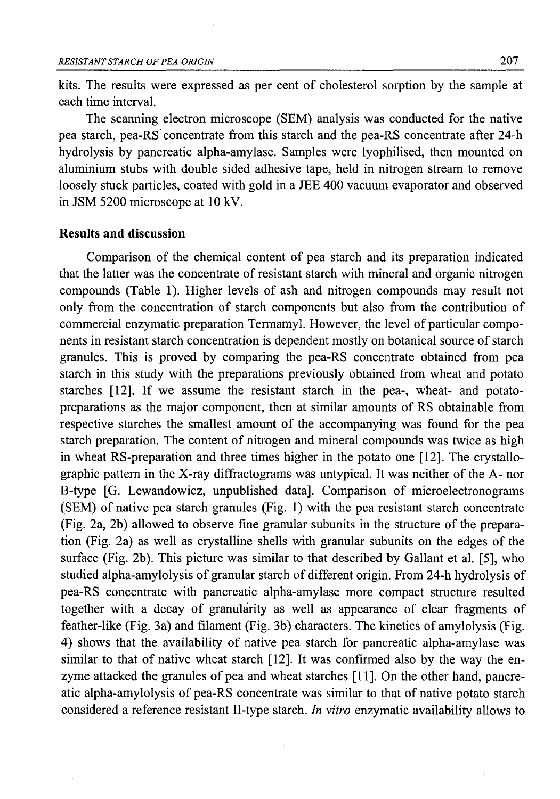kits. The results were expressed as per cent of cholesterol sorption by the sample at each time interval.

The scanning electron microscope (SEM) analysis was conducted for the native pea starch, pea-RS concentrate from this starch and the pea-RS concentrate after 24-h hydrolysis by pancreatic alpha-amylase. Samples were lyophilised, then mounted on aluminium stubs with double sided adhesive tape, held in nitrogen stream to remove loosely stuck particles, coated with gold in a JEE 400 vacuum evaporator and observed in JSM 5200 microscope at 10 kV.

### **Results and discussion**

Comparison of the chemical content of pea starch and its preparation indicated that the latter was the concentrate of resistant starch with mineral and organic nitrogen compounds (Table 1). Higher levels of ash and nitrogen compounds may result not only from the concentration of starch components but also from the contribution of commercial enzymatic preparation Termamyl. However, the level of particular components in resistant starch concentration is dependent mostly on botanical source of starch granules. This is proved by comparing the pea-RS concentrate obtained from pea starch in this study with the preparations previously obtained from wheat and potato starches [12]. If we assume the resistant starch in the pea-, wheat- and potatopreparations as the major component, then at similar amounts of RS obtainable from respective starches the smallest amount of the accompanying was found for the pea starch preparation. The content of nitrogen and mineral compounds was twice as high in wheat RS-preparation and three times higher in the potato one [12]. The crystallographic pattern in the X-ray diffractograms was untypical. It was neither of the A- nor B-type [G. Lewandowicz, unpublished data]. Comparison of microelectronograms (SEM) of native pea starch granules (Fig. 1) with the pea resistant starch concentrate (Fig. 2a, 2b) allowed to observe fine granular subunits in the structure of the preparation (Fig. 2a) as well as crystalline shells with granular subunits on the edges of the surface (Fig. 2b). This picture was similar to that described by Gallant et al. [5], who studied alpha-amylolysis of granular starch of different origin. From 24-h hydrolysis of pea-RS concentrate with pancreatic alpha-amylase more compact structure resulted together with a decay of granularity as well as appearance of clear fragments of feather-like (Fig. 3a) and filament (Fig. 3b) characters. The kinetics of amylolysis (Fig. 4) shows that the availability of native pea starch for pancreatic alpha-amylase was similar to that of native wheat starch [12]. It was confirmed also by the way the enzyme attacked the granules of pea and wheat starches [11]. On the other hand, pancreatic alpha-amylolysis of pea-RS concentrate was similar to that of native potato starch considered a reference resistant II-type starch. *In vitro* enzymatic availability allows to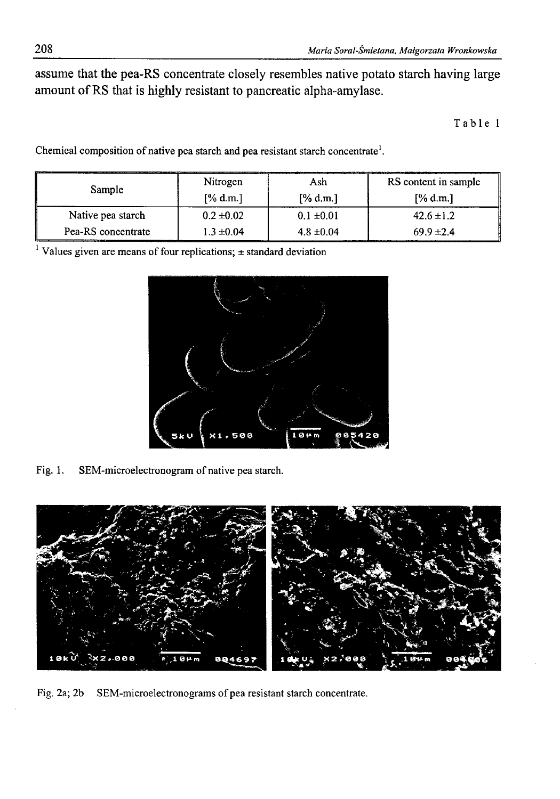assume that the pea-RS concentrate closely resembles native potato starch having large amount of RS that is highly resistant to pancreatic alpha-amylase.

Table 1

Chemical composition of native pea starch and pea resistant starch concentrate<sup>1</sup>.

| Sample             | Nitrogen       | Ash            | RS content in sample |
|--------------------|----------------|----------------|----------------------|
|                    | [% d.m.]       | [% d.m.]       | [% d.m.]             |
| Native pea starch  | $0.2 \pm 0.02$ | $0.1 \pm 0.01$ | $42.6 \pm 1.2$       |
| Pea-RS concentrate | $1.3 \pm 0.04$ | $4.8 \pm 0.04$ | $69.9 \pm 2.4$       |

<sup>1</sup> Values given are means of four replications;  $\pm$  standard deviation



Fig. 1. SEM-microelectronogram of native pea starch.



Fig. 2a; 2b SEM-microelectronograms of pea resistant starch concentrate.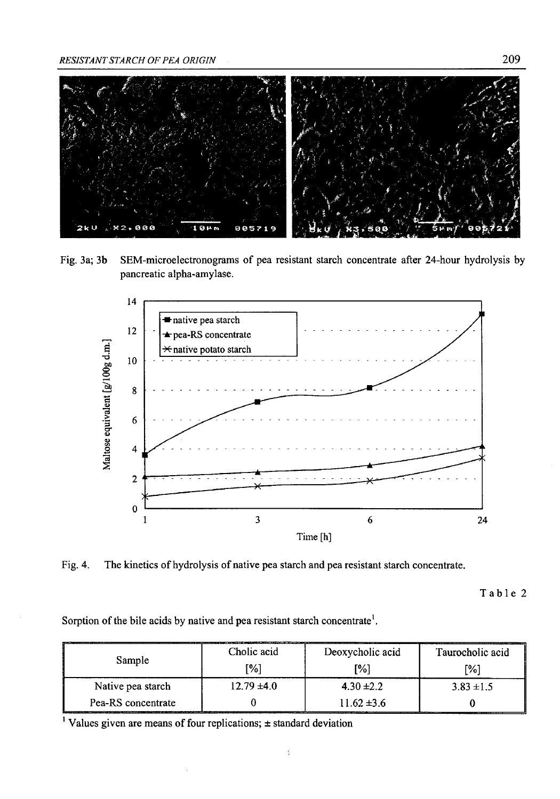

Fig. 3a; 3b SEM-microelectronograms of pea resistant starch concentrate after 24-hour hydrolysis by pancreatic alpha-amylase.



Fig. 4. The kinetics of hydrolysis of native pea starch and pea resistant starch concentrate.

Table 2

Sorption of the bile acids by native and pea resistant starch concentrate<sup>1</sup>.

| Sample             | Cholic acid     | Deoxycholic acid | Taurocholic acid |
|--------------------|-----------------|------------------|------------------|
|                    | [%]             | [%]              | [%]              |
| Native pea starch  | $12.79 \pm 4.0$ | $4.30 \pm 2.2$   | $3.83 \pm 1.5$   |
| Pea-RS concentrate |                 | $11.62 \pm 3.6$  |                  |

ĵ.

<sup>1</sup> Values given are means of four replications;  $\pm$  standard deviation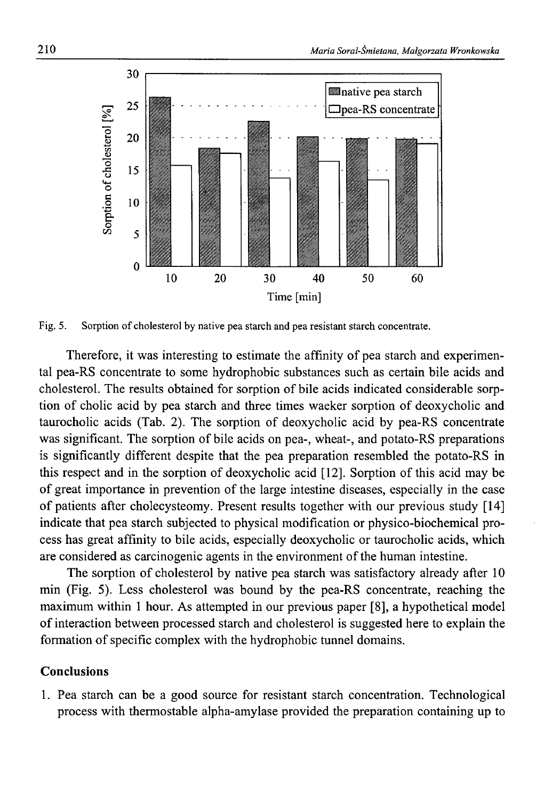

Fig. 5. Sorption of cholesterol by native pea starch and pea resistant starch concentrate.

Therefore, it was interesting to estimate the affinity of pea starch and experimental pea-RS concentrate to some hydrophobic substances such as certain bile acids and cholesterol. The results obtained for sorption of bile acids indicated considerable sorption of cholic acid by pea starch and three times waeker sorption of deoxycholic and taurocholic acids (Tab. 2). The sorption of deoxycholic acid by pea-RS concentrate was significant. The sorption of bile acids on pea-, wheat-, and potato-RS preparations is significantly different despite that the pea preparation resembled the potato-RS in this respect and in the sorption of deoxycholic acid [12]. Sorption of this acid may be of great importance in prevention of the large intestine diseases, especially in the case of patients after cholecysteomy. Present results together with our previous study [14] indicate that pea starch subjected to physical modification or physico-biochemical process has great affinity to bile acids, especially deoxycholic or taurocholic acids, which are considered as carcinogenic agents in the environment of the human intestine.

The sorption of cholesterol by native pea starch was satisfactory already after 10 min (Fig. 5). Less cholesterol was bound by the pea-RS concentrate, reaching the maximum within 1 hour. As attempted in our previous paper [8], a hypothetical model of interaction between processed starch and cholesterol is suggested here to explain the formation of specific complex with the hydrophobic tunnel domains.

#### **Conclusions**

1. Pea starch can be a good source for resistant starch concentration. Technological process with thermostable alpha-amylase provided the preparation containing up to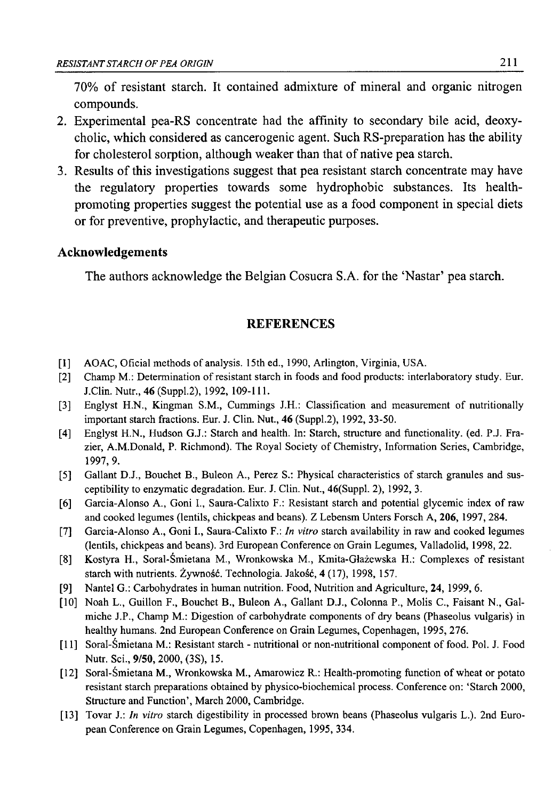70% of resistant starch. It contained admixture of mineral and organic nitrogen compounds.

- 2. Experimental pea-RS concentrate had the affinity to secondary bile acid, deoxycholic, which considered as cancerogenic agent. Such RS-preparation has the ability for cholesterol sorption, although weaker than that of native pea starch.
- 3. Results of this investigations suggest that pea resistant starch concentrate may have the regulatory properties towards some hydrophobic substances. Its healthpromoting properties suggest the potential use as a food component in special diets or for preventive, prophylactic, and therapeutic purposes.

### **Acknowledgements**

The authors acknowledge the Belgian Cosucra S.A. for the 'Nastar' pea starch.

# **REFERENCES**

- [1] AOAC, Oficial methods of analysis. 15th ed., 1990, Arlington, Virginia, USA.
- [2] Champ M.: Determination of resistant starch in foods and food products: interlaboratory study. Eur. J.Clin. Nutr., 46 (Suppl.2), 1992, 109-111.
- [3] Englyst H.N., Kingman S.M., Cummings J.H.: Classification and measurement of nutritionally important starch fractions. Eur. J. Clin. Nut., 46 (Suppl.2), 1992, 33-50.
- [4] Englyst H.N., Hudson G.J.: Starch and health. In: Starch, structure and functionality, (ed. P.J. Frazier, A.M.Donald, P. Richmond). The Royal Society of Chemistry, Information Series, Cambridge, 1997, 9.
- [5] Gallant D.J., Bouchet B., Buleon A., Perez S.: Physical characteristics of starch granules and susceptibility to enzymatic degradation. Eur. J. Clin. Nut., 46(Suppl. 2), 1992, 3.
- [6] Garcia-Alonso A., Goni I., Saura-Calixto F.: Resistant starch and potential glycemic index of raw and cooked legumes (lentils, chickpeas and beans). Z Lebensm Unters Forsch A, 206, 1997, 284.
- [7] Garcia-Alonso A., Goni I., Saura-Calixto F *In vitro* starch availability in raw and cooked legumes (lentils, chickpeas and beans). 3rd European Conference on Grain Legumes, Valladolid, 1998, 22.
- [8] Kostyra H., Soral-Śmietana M., Wronkowska M., Kmita-Głażewska H.: Complexes of resistant starch with nutrients. Żywność. Technologia. Jakość, 4(17), 1998, 157.
- [9] Nantel G.: Carbohydrates in human nutrition. Food, Nutrition and Agriculture, 24, 1999, 6.
- [10] Noah L., Guillon F., Bouchet B., Buleon A., Gallant D.J., Colonna P., Molis C., Faisant N., Galmiche J.P., Champ M.: Digestion of carbohydrate components of dry beans (Phaseolus vulgaris) in healthy humans. 2nd European Conference on Grain Legumes, Copenhagen, 1995, 276.
- [11] Soral-Śmietana M.: Resistant starch nutritional or non-nutritional component of food. Pol. J. Food Nutr. Sci., 9/50, 2000, (3S), 15.
- [12] Soral-Śmietana M., Wronkowska M., Amarowicz R.: Health-promoting function of wheat or potato resistant starch preparations obtained by physico-biochemical process. Conference on: 'Starch 2000, Structure and Function', March 2000, Cambridge.
- [13] Tovar J.: *In vitro* starch digestibility in processed brown beans (Phaseolus vulgaris L.). 2nd European Conference on Grain Legumes, Copenhagen, 1995, 334.